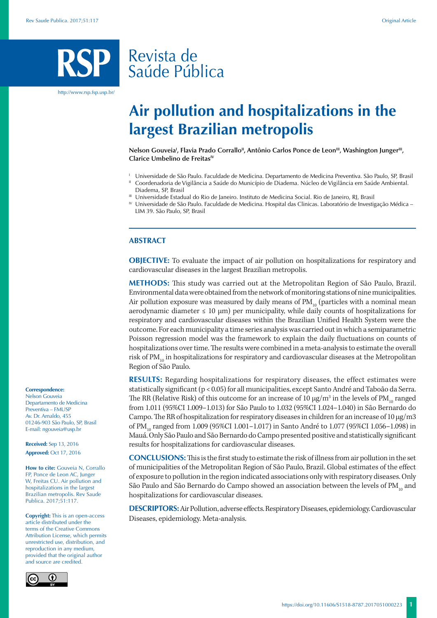# Revista de Saúde Pública

http://www.rsp.fsp.usp.br/

# **Air pollution and hospitalizations in the largest Brazilian metropolis**

Nelson Gouveia<sup>i</sup>, Flavia Prado Corrallo<sup>ii</sup>, Antônio Carlos Ponce de Leon<sup>iii</sup>, Washington Junger<sup>iii</sup>, **Clarice Umbelino de Freitas<sup>IV</sup>** 

- <sup>I</sup> Universidade de São Paulo. Faculdade de Medicina. Departamento de Medicina Preventiva. São Paulo, SP, Brasil
- II Coordenadoria de Vigilância a Saúde do Município de Diadema. Núcleo de Vigilância em Saúde Ambiental. Diadema, SP, Brasil
- III Universidade Estadual do Rio de Janeiro. Instituto de Medicina Social. Rio de Janeiro, RJ, Brasil

IV Universidade de São Paulo. Faculdade de Medicina. Hospital das Clinicas. Laboratório de Investigação Médica – LIM 39. São Paulo, SP, Brasil

#### **ABSTRACT**

**OBJECTIVE:** To evaluate the impact of air pollution on hospitalizations for respiratory and cardiovascular diseases in the largest Brazilian metropolis.

**METHODS:** This study was carried out at the Metropolitan Region of São Paulo, Brazil. Environmental data were obtained from the network of monitoring stations of nine municipalities. Air pollution exposure was measured by daily means of  $PM_{10}$  (particles with a nominal mean aerodynamic diameter  $≤ 10 \mu m$ ) per municipality, while daily counts of hospitalizations for respiratory and cardiovascular diseases within the Brazilian Unified Health System were the outcome. For each municipality a time series analysis was carried out in which a semiparametric Poisson regression model was the framework to explain the daily fluctuations on counts of hospitalizations over time. The results were combined in a meta-analysis to estimate the overall risk of  $PM_{10}$  in hospitalizations for respiratory and cardiovascular diseases at the Metropolitan Region of São Paulo.

**RESULTS:** Regarding hospitalizations for respiratory diseases, the effect estimates were statistically significant (p < 0.05) for all municipalities, except Santo André and Taboão da Serra. The RR (Relative Risk) of this outcome for an increase of 10  $\mu$ g/m $^3$  in the levels of PM $_{_{10}}$  ranged from 1.011 (95%CI 1.009–1.013) for São Paulo to 1.032 (95%CI 1.024–1.040) in São Bernardo do Campo. The RR of hospitalization for respiratory diseases in children for an increase of 10  $\mu$ g/m3 of PM<sub>10</sub> ranged from 1.009 (95%CI 1.001–1.017) in Santo André to 1.077 (95%CI 1.056–1.098) in Mauá. Only São Paulo and São Bernardo do Campo presented positive and statistically significant results for hospitalizations for cardiovascular diseases.

**CONCLUSIONS:** This is the first study to estimate the risk of illness from air pollution in the set of municipalities of the Metropolitan Region of São Paulo, Brazil. Global estimates of the effect of exposure to pollution in the region indicated associations only with respiratory diseases. Only São Paulo and São Bernardo do Campo showed an association between the levels of  $\text{PM}_{10}$  and hospitalizations for cardiovascular diseases.

**DESCRIPTORS:** Air Pollution, adverse effects. Respiratory Diseases, epidemiology. Cardiovascular Diseases, epidemiology. Meta-analysis.



Nelson Gouveia Departamento de Medicina Preventiva – FMUSP Av. Dr. Arnaldo, 455 01246-903 São Paulo, SP, Brasil E-mail: ngouveia@usp.br

**Received:** Sep 13, 2016 **Approved:** Oct 17, 2016

**How to cite:** Gouveia N, Corrallo FP, Ponce de Leon AC, Junger W, Freitas CU. Air pollution and hospitalizations in the largest Brazilian metropolis. Rev Saude Publica. 2017;51:117.

**Copyright:** This is an open-access article distributed under the terms of the Creative Commons Attribution License, which permits unrestricted use, distribution, and reproduction in any medium, provided that the original author and source are credited.

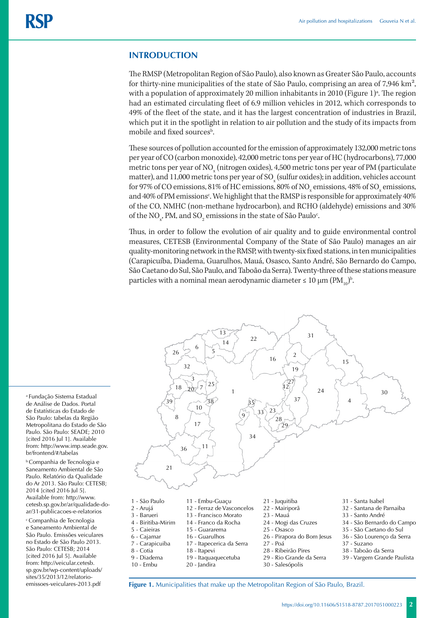### **INTRODUCTION**

The RMSP (Metropolitan Region of São Paulo), also known as Greater São Paulo, accounts for thirty-nine municipalities of the state of São Paulo, comprising an area of 7,946 km², with a population of approximately  $20$  million inhabitants in  $2010$  (Figure 1)<sup>a</sup>. The region had an estimated circulating fleet of 6.9 million vehicles in 2012, which corresponds to 49% of the fleet of the state, and it has the largest concentration of industries in Brazil, which put it in the spotlight in relation to air pollution and the study of its impacts from mobile and fixed sources<sup>b</sup>.

These sources of pollution accounted for the emission of approximately 132,000 metric tons per year of CO (carbon monoxide), 42,000 metric tons per year of HC (hydrocarbons), 77,000 metric tons per year of NO<sub>x</sub> (nitrogen oxides), 4,500 metric tons per year of PM (particulate matter), and 11,000 metric tons per year of SO  $_{\mathrm{x}}$  (sulfur oxides); in addition, vehicles account for 97% of CO emissions, 81% of HC emissions, 80% of NO<sub>x</sub> emissions, 48% of SO<sub>x</sub> emissions, and 40% of PM emissions<sup>c</sup>. We highlight that the RMSP is responsible for approximately 40% of the CO, NMHC (non-methane hydrocarbon), and RCHO (aldehyde) emissions and 30% of the NO<sub>x</sub>, PM, and SO<sub>2</sub> emissions in the state of São Paulo<sup>c</sup>.

Thus, in order to follow the evolution of air quality and to guide environmental control measures, CETESB (Environmental Company of the State of São Paulo) manages an air quality-monitoring network in the RMSP, with twenty-six fixed stations, in ten municipalities (Carapicuíba, Diadema, Guarulhos, Mauá, Osasco, Santo André, São Bernardo do Campo, São Caetano do Sul, São Paulo, and Taboão da Serra). Twenty-three of these stations measure particles with a nominal mean aerodynamic diameter  $\leq 10 \mu m (PM_{10})^b$ .



a Fundação Sistema Estadual de Análise de Dados. Portal de Estatísticas do Estado de São Paulo: tabelas da Região Metropolitana do Estado de São Paulo. São Paulo: SEADE; 2010 [cited 2016 Jul 1]. Available from: http://www.imp.seade.gov. br/frontend/#/tabelas

b Companhia de Tecnologia e Saneamento Ambiental de São Paulo. Relatório da Qualidade do Ar 2013. São Paulo: CETESB; 2014 [cited 2016 Jul 5]. Available from: http://www. cetesb.sp.gov.br/ar/qualidade-doar/31-publicacoes-e-relatorios

c Companhia de Tecnologia e Saneamento Ambiental de São Paulo. Emissões veiculares no Estado de São Paulo 2013. São Paulo: CETESB; 2014 [cited 2016 Jul 5]. Available from: http://veicular.cetesb. sp.gov.br/wp-content/uploads/ sites/35/2013/12/relatorio-

emissoes-veiculares-2013.pdf **Figure 1.** Municipalities that make up the Metropolitan Region of São Paulo, Brazil.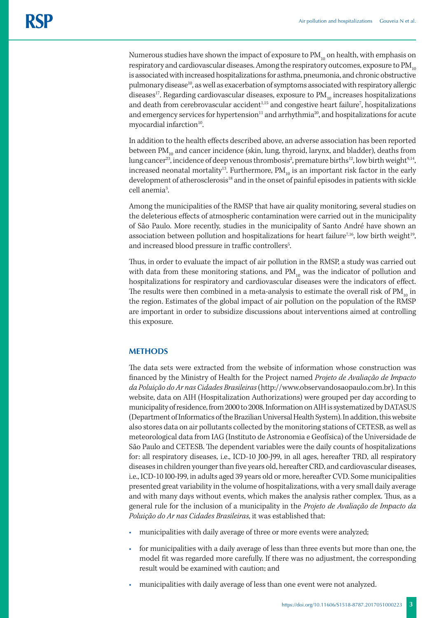Numerous studies have shown the impact of exposure to  $PM_{10}$  on health, with emphasis on respiratory and cardiovascular diseases. Among the respiratory outcomes, exposure to  $PM_{10}$ is associated with increased hospitalizations for asthma, pneumonia, and chronic obstructive pulmonary disease<sup>10</sup>, as well as exacerbation of symptoms associated with respiratory allergic diseases<sup>17</sup>. Regarding cardiovascular diseases, exposure to  $PM_{10}$  increases hospitalizations and death from cerebrovascular accident<sup>1,15</sup> and congestive heart failure<sup>7</sup>, hospitalizations and emergency services for hypertension $11$  and arrhythmia<sup>20</sup>, and hospitalizations for acute myocardial infarction<sup>10</sup>.

In addition to the health effects described above, an adverse association has been reported between  $PM_{10}$  and cancer incidence (skin, lung, thyroid, larynx, and bladder), deaths from lung cancer $^{23}$ , incidence of deep venous thrombosis $^{2}$ , premature births $^{12}$ , low birth weight $^{9,14},$ increased neonatal mortality<sup>13</sup>. Furthermore,  $PM_{10}$  is an important risk factor in the early development of atherosclerosis<sup>18</sup> and in the onset of painful episodes in patients with sickle cell anemia<sup>3</sup>.

Among the municipalities of the RMSP that have air quality monitoring, several studies on the deleterious effects of atmospheric contamination were carried out in the municipality of São Paulo. More recently, studies in the municipality of Santo André have shown an association between pollution and hospitalizations for heart failure<sup>7,16</sup>, low birth weight<sup>19</sup>, and increased blood pressure in traffic controllers<sup>5</sup>.

Thus, in order to evaluate the impact of air pollution in the RMSP, a study was carried out with data from these monitoring stations, and  $PM_{10}$  was the indicator of pollution and hospitalizations for respiratory and cardiovascular diseases were the indicators of effect. The results were then combined in a meta-analysis to estimate the overall risk of  $PM_{10}$  in the region. Estimates of the global impact of air pollution on the population of the RMSP are important in order to subsidize discussions about interventions aimed at controlling this exposure.

#### **METHODS**

The data sets were extracted from the website of information whose construction was financed by the Ministry of Health for the Project named *Projeto de Avaliação de Impacto da Poluição do Ar nas Cidades Brasileiras* (http://www.observandosaopaulo.com.br). In this website, data on AIH (Hospitalization Authorizations) were grouped per day according to municipality of residence, from 2000 to 2008. Information on AIH is systematized by DATASUS (Department of Informatics of the Brazilian Universal Health System). In addition, this website also stores data on air pollutants collected by the monitoring stations of CETESB, as well as meteorological data from IAG (Instituto de Astronomia e Geofísica) of the Universidade de São Paulo and CETESB. The dependent variables were the daily counts of hospitalizations for: all respiratory diseases, i.e., ICD-10 J00-J99, in all ages, hereafter TRD, all respiratory diseases in children younger than five years old, hereafter CRD, and cardiovascular diseases, i.e., ICD-10 I00-I99, in adults aged 39 years old or more, hereafter CVD. Some municipalities presented great variability in the volume of hospitalizations, with a very small daily average and with many days without events, which makes the analysis rather complex. Thus, as a general rule for the inclusion of a municipality in the *Projeto de Avaliação de Impacto da Poluição do Ar nas Cidades Brasileiras*, it was established that:

- municipalities with daily average of three or more events were analyzed;
- for municipalities with a daily average of less than three events but more than one, the model fit was regarded more carefully. If there was no adjustment, the corresponding result would be examined with caution; and
- municipalities with daily average of less than one event were not analyzed.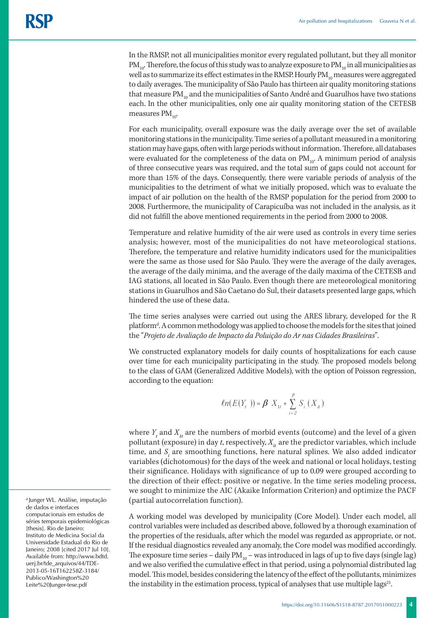In the RMSP, not all municipalities monitor every regulated pollutant, but they all monitor  $PM_{10}$ . Therefore, the focus of this study was to analyze exposure to  $PM_{10}$  in all municipalities as well as to summarize its effect estimates in the RMSP. Hourly  $PM_{10}$  measures were aggregated to daily averages. The municipality of São Paulo has thirteen air quality monitoring stations that measure  $PM_{10}$  and the municipalities of Santo André and Guarulhos have two stations each. In the other municipalities, only one air quality monitoring station of the CETESB measures  $PM_{10}$ .

For each municipality, overall exposure was the daily average over the set of available monitoring stations in the municipality. Time series of a pollutant measured in a monitoring station may have gaps, often with large periods without information. Therefore, all databases were evaluated for the completeness of the data on  $PM_{10}$ . A minimum period of analysis of three consecutive years was required, and the total sum of gaps could not account for more than 15% of the days. Consequently, there were variable periods of analysis of the municipalities to the detriment of what we initially proposed, which was to evaluate the impact of air pollution on the health of the RMSP population for the period from 2000 to 2008. Furthermore, the municipality of Carapicuíba was not included in the analysis, as it did not fulfill the above mentioned requirements in the period from 2000 to 2008.

Temperature and relative humidity of the air were used as controls in every time series analysis; however, most of the municipalities do not have meteorological stations. Therefore, the temperature and relative humidity indicators used for the municipalities were the same as those used for São Paulo. They were the average of the daily averages, the average of the daily minima, and the average of the daily maxima of the CETESB and IAG stations, all located in São Paulo. Even though there are meteorological monitoring stations in Guarulhos and São Caetano do Sul, their datasets presented large gaps, which hindered the use of these data.

The time series analyses were carried out using the ARES library, developed for the R platform<sup>d</sup>. A common methodology was applied to choose the models for the sites that joined the "*Projeto de Avaliação de Impacto da Poluição do Ar nas Cidades Brasileiras*".

We constructed explanatory models for daily counts of hospitalizations for each cause over time for each municipality participating in the study. The proposed models belong to the class of GAM (Generalized Additive Models), with the option of Poisson regression, according to the equation:

$$
ln(E(Y_t)) = \beta X_{1t} + \sum_{i=2}^{p} S_i(X_{it})
$$

where  $Y_t$  and  $X_{1t}$  are the numbers of morbid events (outcome) and the level of a given pollutant (exposure) in day *t*, respectively,  $X_i$  are the predictor variables, which include time, and  $S_i$  are smoothing functions, here natural splines. We also added indicator variables (dichotomous) for the days of the week and national or local holidays, testing their significance. Holidays with significance of up to 0.09 were grouped according to the direction of their effect: positive or negative. In the time series modeling process, we sought to minimize the AIC (Akaike Information Criterion) and optimize the PACF (partial autocorrelation function).

A working model was developed by municipality (Core Model). Under each model, all control variables were included as described above, followed by a thorough examination of the properties of the residuals, after which the model was regarded as appropriate, or not. If the residual diagnostics revealed any anomaly, the Core model was modified accordingly. The exposure time series – daily  $PM_{10}$  – was introduced in lags of up to five days (single lag) and we also verified the cumulative effect in that period, using a polynomial distributed lag model. This model, besides considering the latency of the effect of the pollutants, minimizes the instability in the estimation process, typical of analyses that use multiple lags $^{21}$ .

d Junger WL. Análise, imputação de dados e interfaces computacionais em estudos de séries temporais epidemiológicas [thesis]. Rio de Janeiro: Instituto de Medicina Social da Universidade Estadual do Rio de Janeiro; 2008 [cited 2017 Jul 10]. Available from: http://www.bdtd. uerj.br/tde\_arquivos/44/TDE-2013-05-16T162258Z-3184/ Publico/Washington%20 Leite%20Junger-tese.pdf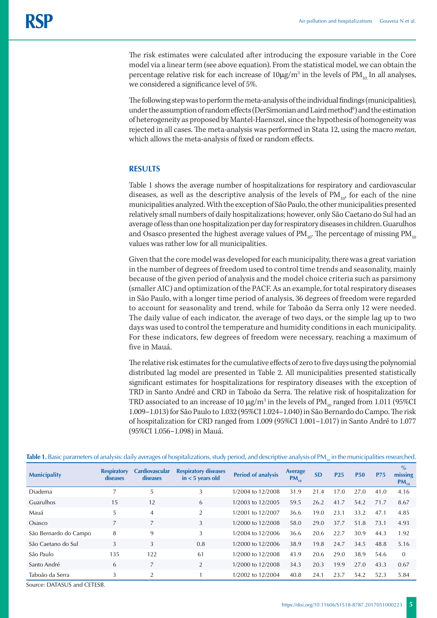The risk estimates were calculated after introducing the exposure variable in the Core model via a linear term (see above equation). From the statistical model, we can obtain the percentage relative risk for each increase of  $10\mu\text{g}/\text{m}^3$  in the levels of  $\text{PM}_{_{10}}$  In all analyses, we considered a significance level of 5%.

The following step was to perform the meta-analysis of the individual findings (municipalities), under the assumption of random effects (DerSimonian and Laird method $^6$ ) and the estimation of heterogeneity as proposed by Mantel-Haenszel, since the hypothesis of homogeneity was rejected in all cases. The meta-analysis was performed in Stata 12, using the macro *metan*, which allows the meta-analysis of fixed or random effects.

#### **RESULTS**

Table 1 shows the average number of hospitalizations for respiratory and cardiovascular diseases, as well as the descriptive analysis of the levels of  $PM_{10}$ , for each of the nine municipalities analyzed. With the exception of São Paulo, the other municipalities presented relatively small numbers of daily hospitalizations; however, only São Caetano do Sul had an average of less than one hospitalization per day for respiratory diseases in children. Guarulhos and Osasco presented the highest average values of  $PM_{10}$ . The percentage of missing  $PM_{10}$ values was rather low for all municipalities.

Given that the core model was developed for each municipality, there was a great variation in the number of degrees of freedom used to control time trends and seasonality, mainly because of the given period of analysis and the model choice criteria such as parsimony (smaller AIC) and optimization of the PACF. As an example, for total respiratory diseases in São Paulo, with a longer time period of analysis, 36 degrees of freedom were regarded to account for seasonality and trend, while for Taboão da Serra only 12 were needed. The daily value of each indicator, the average of two days, or the simple lag up to two days was used to control the temperature and humidity conditions in each municipality. For these indicators, few degrees of freedom were necessary, reaching a maximum of five in Mauá.

The relative risk estimates for the cumulative effects of zero to five days using the polynomial distributed lag model are presented in Table 2. All municipalities presented statistically significant estimates for hospitalizations for respiratory diseases with the exception of TRD in Santo André and CRD in Taboão da Serra. The relative risk of hospitalization for TRD associated to an increase of 10  $\mu$ g/m<sup>3</sup> in the levels of PM<sub>10</sub> ranged from 1.011 (95%CI 1.009–1.013) for São Paulo to 1.032 (95%CI 1.024–1.040) in São Bernardo do Campo. The risk of hospitalization for CRD ranged from 1.009 (95%CI 1.001–1.017) in Santo André to 1.077 (95%CI 1.056–1.098) in Mauá.

| <b>Municipality</b>   | <b>Respiratory</b><br>diseases | <b>Cardiovascular</b><br>diseases | <b>Respiratory diseases</b><br>$in < 5$ years old | <b>Period of analysis</b> | Average<br>$PM_{10}$ | <b>SD</b> | P <sub>25</sub> | <b>P50</b> | <b>P75</b> | $\frac{0}{0}$<br>missing<br>$PM_{10}$ |
|-----------------------|--------------------------------|-----------------------------------|---------------------------------------------------|---------------------------|----------------------|-----------|-----------------|------------|------------|---------------------------------------|
| Diadema               | 7                              | 5                                 | 3                                                 | 1/2004 to 12/2008         | 31.9                 | 21.4      | 17.0            | 27.0       | 41.0       | 4.16                                  |
| Guarulhos             | 15                             | 12                                | 6                                                 | 1/2003 to 12/2005         | 59.5                 | 26.2      | 41.7            | 54.2       | 71.7       | 8.67                                  |
| Mauá                  | 5                              | $\overline{4}$                    | $\overline{2}$                                    | 1/2001 to 12/2007         | 36.6                 | 19.0      | 23.1            | 33.2       | 47.1       | 4.85                                  |
| Osasco                | 7                              | 7                                 | 3                                                 | 1/2000 to 12/2008         | 58.0                 | 29.0      | 37.7            | 51.8       | 73.1       | 4.93                                  |
| São Bernardo do Campo | 8                              | 9                                 | 3                                                 | 1/2004 to 12/2006         | 36.6                 | 20.6      | 22.7            | 30.9       | 44.3       | 1.92                                  |
| São Caetano do Sul    | 3                              | 3                                 | 0.8                                               | 1/2000 to 12/2006         | 38.9                 | 19.8      | 24.7            | 34.5       | 48.8       | 5.16                                  |
| São Paulo             | 135                            | 122                               | 61                                                | 1/2000 to 12/2008         | 43.9                 | 20.6      | 29.0            | 38.9       | 54.6       | $\Omega$                              |
| Santo André           | 6                              | $\overline{7}$                    | $\overline{2}$                                    | 1/2000 to 12/2008         | 34.3                 | 20.3      | 19.9            | 27.0       | 43.3       | 0.67                                  |
| Taboão da Serra       | 3                              | 2                                 |                                                   | 1/2002 to 12/2004         | 40.8                 | 24.1      | 23.7            | 54.2       | 52.3       | 5.84                                  |

Table 1. Basic parameters of analysis: daily averages of hospitalizations, study period, and descriptive analysis of PM<sub>10</sub> in the municipalities researched.

Source: DATASUS and CETESB.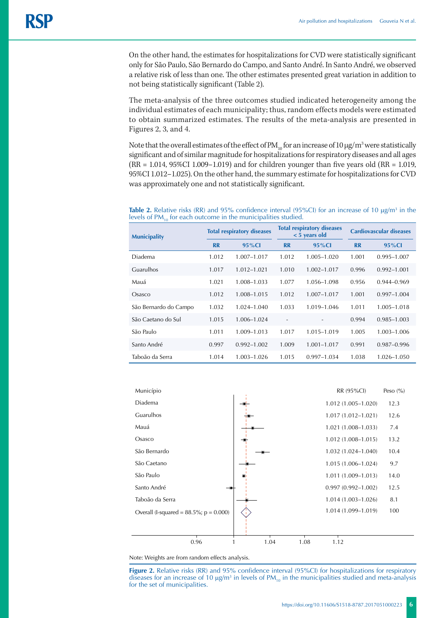On the other hand, the estimates for hospitalizations for CVD were statistically significant only for São Paulo, São Bernardo do Campo, and Santo André. In Santo André, we observed a relative risk of less than one. The other estimates presented great variation in addition to not being statistically significant (Table 2).

The meta-analysis of the three outcomes studied indicated heterogeneity among the individual estimates of each municipality; thus, random effects models were estimated to obtain summarized estimates. The results of the meta-analysis are presented in Figures 2, 3, and 4.

Note that the overall estimates of the effect of PM  $_{10}$  for an increase of 10  $\mu$ g/m<sup>3</sup> were statistically significant and of similar magnitude for hospitalizations for respiratory diseases and all ages (RR = 1.014, 95%CI 1.009–1.019) and for children younger than five years old (RR = 1.019, 95%CI 1.012–1.025). On the other hand, the summary estimate for hospitalizations for CVD was approximately one and not statistically significant.

**Table 2.** Relative risks (RR) and 95% confidence interval (95%CI) for an increase of 10  $\mu$ g/m<sup>3</sup> in the levels of  $PM_{10}$  for each outcome in the municipalities studied.

| <b>Municipality</b>   | <b>Total respiratory diseases</b> |                 | <b>Total respiratory diseases</b><br>$<$ 5 years old |                          | <b>Cardiovascular diseases</b> |                 |  |
|-----------------------|-----------------------------------|-----------------|------------------------------------------------------|--------------------------|--------------------------------|-----------------|--|
|                       | <b>RR</b>                         | $95\%$ Cl       | <b>RR</b>                                            | 95%Cl                    | <b>RR</b>                      | $95\%$ Cl       |  |
| <b>Diadema</b>        | 1.012                             | 1.007-1.017     | 1.012                                                | $1.005 - 1.020$          | 1.001                          | 0.995-1.007     |  |
| Guarulhos             | 1.017                             | $1.012 - 1.021$ | 1.010                                                | $1.002 - 1.017$          | 0.996                          | $0.992 - 1.001$ |  |
| Mauá                  | 1.021                             | 1.008-1.033     | 1.077                                                | 1.056-1.098              | 0.956                          | $0.944 - 0.969$ |  |
| Osasco                | 1.012                             | 1.008-1.015     | 1.012                                                | $1.007 - 1.017$          | 1.001                          | $0.997 - 1.004$ |  |
| São Bernardo do Campo | 1.032                             | $1.024 - 1.040$ | 1.033                                                | 1.019-1.046              | 1.011                          | 1.005-1.018     |  |
| São Caetano do Sul    | 1.015                             | 1.006-1.024     | $\overline{\phantom{a}}$                             | $\overline{\phantom{m}}$ | 0.994                          | $0.985 - 1.003$ |  |
| São Paulo             | 1.011                             | 1.009-1.013     | 1.017                                                | 1.015-1.019              | 1.005                          | $1.003 - 1.006$ |  |
| Santo André           | 0.997                             | $0.992 - 1.002$ | 1.009                                                | $1.001 - 1.017$          | 0.991                          | 0.987-0.996     |  |
| Taboão da Serra       | 1.014                             | $1.003 - 1.026$ | 1.015                                                | $0.997 - 1.034$          | 1.038                          | 1.026-1.050     |  |



Note: Weights are from random effects analysis.

**Figure 2.** Relative risks (RR) and 95% confidence interval (95%CI) for hospitalizations for respiratory diseases for an increase of 10  $\mu$ g/m<sup>3</sup> in levels of PM<sub>10</sub> in the municipalities studied and meta-analysis for the set of municipalities.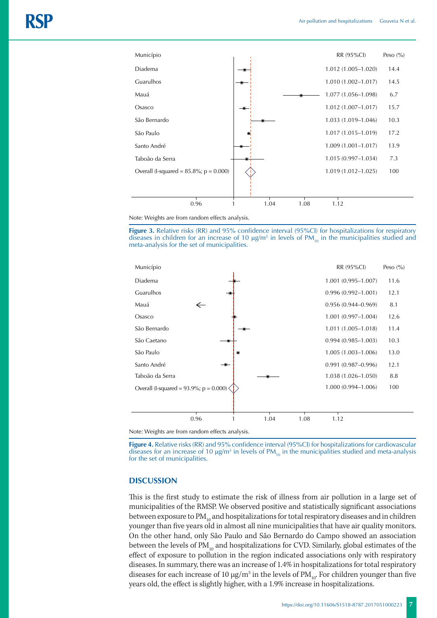

Note: Weights are from random effects analysis.

**Figure 3.** Relative risks (RR) and 95% confidence interval (95%CI) for hospitalizations for respiratory diseases in children for an increase of 10  $\mu$ g/m<sup>3</sup> in levels of PM<sub>10</sub> in the municipalities studied and meta-analysis for the set of municipalities.



Note: Weights are from random effects analysis.

**Figure 4.** Relative risks (RR) and 95% confidence interval (95%CI) for hospitalizations for cardiovascular diseases for an increase of 10  $\mu$ g/m<sup>3</sup> in levels of PM<sub>10</sub> in the municipalities studied and meta-analysis for the set of municipalities.

### **DISCUSSION**

This is the first study to estimate the risk of illness from air pollution in a large set of municipalities of the RMSP. We observed positive and statistically significant associations between exposure to  $PM_{10}$  and hospitalizations for total respiratory diseases and in children younger than five years old in almost all nine municipalities that have air quality monitors. On the other hand, only São Paulo and São Bernardo do Campo showed an association between the levels of  $PM_{10}$  and hospitalizations for CVD. Similarly, global estimates of the effect of exposure to pollution in the region indicated associations only with respiratory diseases. In summary, there was an increase of 1.4% in hospitalizations for total respiratory diseases for each increase of 10  $\mu$ g/m<sup>3</sup> in the levels of PM<sub>10</sub>. For children younger than five years old, the effect is slightly higher, with a 1.9% increase in hospitalizations.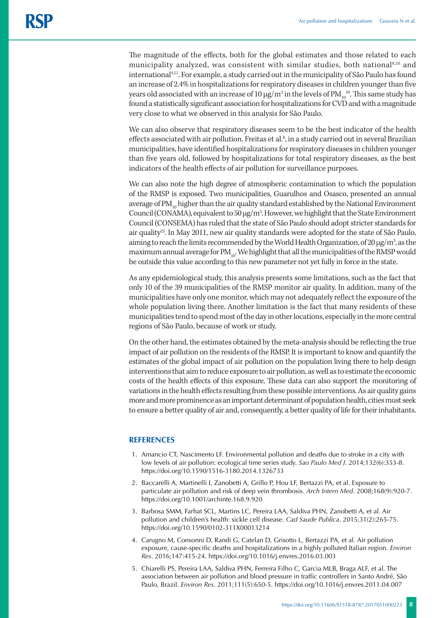The magnitude of the effects, both for the global estimates and those related to each municipality analyzed, was consistent with similar studies, both national<sup>8,10</sup> and international4,11. For example, a study carried out in the municipality of São Paulo has found an increase of 2.4% in hospitalizations for respiratory diseases in children younger than five years old associated with an increase of 10  $\mu$ g/m $^3$  in the levels of PM $_{10}^{-10}$ . This same study has found a statistically significant association for hospitalizations for CVD and with a magnitude very close to what we observed in this analysis for São Paulo.

We can also observe that respiratory diseases seem to be the best indicator of the health effects associated with air pollution. Freitas et al.<sup>8</sup>, in a study carried out in several Brazilian municipalities, have identified hospitalizations for respiratory diseases in children younger than five years old, followed by hospitalizations for total respiratory diseases, as the best indicators of the health effects of air pollution for surveillance purposes.

We can also note the high degree of atmospheric contamination to which the population of the RMSP is exposed. Two municipalities, Guarulhos and Osasco, presented an annual average of  $PM_{10}$  higher than the air quality standard established by the National Environment Council (CONAMA), equivalent to 50  $\mu$ g/m<sup>3</sup>. However, we highlight that the State Environment Council (CONSEMA) has ruled that the state of São Paulo should adopt stricter standards for air quality<sup>22</sup>. In May 2011, new air quality standards were adopted for the state of São Paulo, aiming to reach the limits recommended by the World Health Organization, of 20  $\mu$ g/m<sup>3</sup>, as the maximum annual average for  $PM_{10}$ . We highlight that all the municipalities of the RMSP would be outside this value according to this new parameter not yet fully in force in the state.

As any epidemiological study, this analysis presents some limitations, such as the fact that only 10 of the 39 municipalities of the RMSP monitor air quality. In addition, many of the municipalities have only one monitor, which may not adequately reflect the exposure of the whole population living there. Another limitation is the fact that many residents of these municipalities tend to spend most of the day in other locations, especially in the more central regions of São Paulo, because of work or study.

On the other hand, the estimates obtained by the meta-analysis should be reflecting the true impact of air pollution on the residents of the RMSP. It is important to know and quantify the estimates of the global impact of air pollution on the population living there to help design interventions that aim to reduce exposure to air pollution, as well as to estimate the economic costs of the health effects of this exposure. These data can also support the monitoring of variations in the health effects resulting from these possible interventions. As air quality gains more and more prominence as an important determinant of population health, cities must seek to ensure a better quality of air and, consequently, a better quality of life for their inhabitants.

#### **REFERENCES**

- 1. Amancio CT, Nascimento LF. Environmental pollution and deaths due to stroke in a city with low levels of air pollution: ecological time series study. *Sao Paulo Med J*. 2014;132(6):353-8. https://doi.org/10.1590/1516-3180.2014.1326733
- 2. Baccarelli A, Martinelli I, Zanobetti A, Grillo P, Hou LF, Bertazzi PA, et al. Exposure to particulate air pollution and risk of deep vein thrombosis. *Arch Intern Med*. 2008;168(9):920-7. https://doi.org/10.1001/archinte.168.9.920
- 3. Barbosa SMM, Farhat SCL, Martins LC, Pereira LAA, Saldiva PHN, Zanobetti A, et al. Air pollution and children's health: sickle cell disease. *Cad Saude Publica*. 2015;31(2):265-75. https://doi.org/10.1590/0102-311X00013214
- 4. Carugno M, Consonni D, Randi G, Catelan D, Grisotto L, Bertazzi PA, et al. Air pollution exposure, cause-specific deaths and hospitalizations in a highly polluted Italian region. *Environ Res*. 2016;147:415-24. https://doi.org/10.1016/j.envres.2016.03.003
- 5. Chiarelli PS, Pereira LAA, Saldiva PHN, Ferreira Filho C, Garcia MLB, Braga ALF, et al. The association between air pollution and blood pressure in traffic controllers in Santo André, São Paulo, Brazil. *Environ Res.* 2011;111(5):650-5. https://doi.org[/10.1016/j.envres.2011.04.007](http://dx.doi.org/10.1016/j.envres.2011.04.007)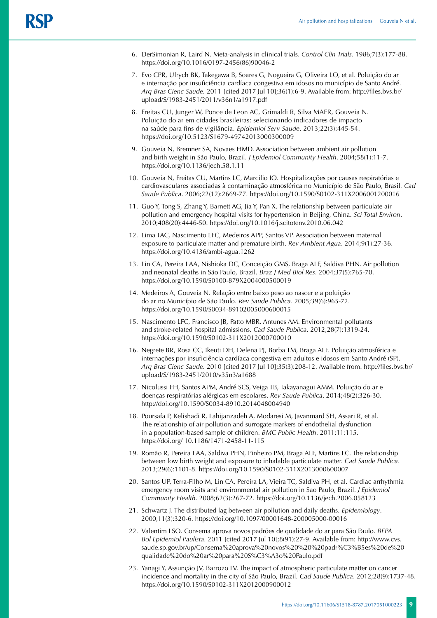- 6. DerSimonian R, Laird N. Meta-analysis in clinical trials. *Control Clin Trials*. 1986;7(3):177-88. https://doi.org/10.1016/0197-2456(86)90046-2
- 7. Evo CPR, Ulrych BK, Takegawa B, Soares G, Nogueira G, Oliveira LO, et al. Poluição do ar e internação por insuficiência cardíaca congestiva em idosos no município de Santo André. *Arq Bras Cienc Saude.* 2011 [cited 2017 Jul 10];36(1):6-9. Available from: http://files.bvs.br/ upload/S/1983-2451/2011/v36n1/a1917.pdf
- 8. Freitas CU, Junger W, Ponce de Leon AC, Grimaldi R, Silva MAFR, Gouveia N. Poluição do ar em cidades brasileiras: selecionando indicadores de impacto na saúde para fins de vigilância. *Epidemiol Serv Saude*. 2013;22(3):445-54. https://doi.org/10.5123/S1679-49742013000300009
- 9. Gouveia N, Bremner SA, Novaes HMD. Association between ambient air pollution and birth weight in São Paulo, Brazil. *J Epidemiol Community Health*. 2004;58(1):11-7. https://doi.org/10.1136/jech.58.1.11
- 10. Gouveia N, Freitas CU, Martins LC, Marcilio IO. Hospitalizações por causas respiratórias e cardiovasculares associadas à contaminação atmosférica no Município de São Paulo, Brasil*. Cad Saude Publica*. 2006;22(12):2669-77. https://doi.org/10.1590/S0102-311X2006001200016
- 11. Guo Y, Tong S, Zhang Y, Barnett AG, Jia Y, Pan X. The relationship between particulate air pollution and emergency hospital visits for hypertension in Beijing, China. *Sci Total Environ*. 2010;408(20):4446-50. https://doi.org/10.1016/j.scitotenv.2010.06.042
- 12. Lima TAC, Nascimento LFC, Medeiros APP, Santos VP. Association between maternal exposure to particulate matter and premature birth. *Rev Ambient Agua*. 2014;9(1):27-36. https://doi.org/10.4136/ambi-agua.1262
- 13. Lin CA, Pereira LAA, Nishioka DC, Conceição GMS, Braga ALF, Saldiva PHN. Air pollution and neonatal deaths in São Paulo, Brazil. *Braz J Med Biol Res*. 2004;37(5):765-70. https://doi.org/10.1590/S0100-879X2004000500019
- 14. Medeiros A, Gouveia N. Relação entre baixo peso ao nascer e a poluição do ar no Município de São Paulo. *Rev Saude Publica*. 2005;39(6):965-72. https://doi.org/10.1590/S0034-89102005000600015
- 15. Nascimento LFC, Francisco JB, Patto MBR, Antunes AM. Environmental pollutants and stroke-related hospital admissions. *Cad Saude Publica*. 2012;28(7):1319-24. https://doi.org/10.1590/S0102-311X2012000700010
- 16. Negrete BR, Rosa CC, Ikeuti DH, Delena PJ, Borba TM, Braga ALF. Poluição atmosférica e internações por insuficiência cardíaca congestiva em adultos e idosos em Santo André (SP). *Arq Bras Cienc Saude.* 2010 [cited 2017 Jul 10];35(3):208-12. Available from: http://files.bvs.br/ upload/S/1983-2451/2010/v35n3/a1688
- 17. Nicolussi FH, Santos APM, André SCS, Veiga TB, Takayanagui AMM. Poluição do ar e doenças respiratórias alérgicas em escolares. *Rev Saude Publica*. 2014;48(2):326-30. http://doi.org/10.1590/S0034-8910.2014048004940
- 18. Poursafa P, Kelishadi R, Lahijanzadeh A, Modaresi M, Javanmard SH, Assari R, et al. The relationship of air pollution and surrogate markers of endothelial dysfunction in a population-based sample of children. *BMC Public Health*. 2011;11:115. https://doi.org/ 10.1186/1471-2458-11-115
- 19. Romão R, Pereira LAA, Saldiva PHN, Pinheiro PM, Braga ALF, Martins LC. The relationship between low birth weight and exposure to inhalable particulate matter. *Cad Saude Publica*. 2013;29(6):1101-8. https://doi.org/10.1590/S0102-311X2013000600007
- 20. Santos UP, Terra-Filho M, Lin CA, Pereira LA, Vieira TC, Saldiva PH, et al. Cardiac arrhythmia emergency room visits and environmental air pollution in Sao Paulo, Brazil. *J Epidemiol Community Health*. 2008;62(3):267-72. https://doi.org/10.1136/jech.2006.058123
- 21. Schwartz J. The distributed lag between air pollution and daily deaths. *Epidemiology*. 2000;11(3):320-6. https://doi.org/10.1097/00001648-200005000-00016
- 22. Valentim LSO. Consema aprova novos padrões de qualidade do ar para São Paulo. *BEPA Bol Epidemiol Paulista.* 2011 [cited 2017 Jul 10];8(91):27-9. Available from: http://www.cvs. saude.sp.gov.br/up/Consema%20aprova%20novos%20%20%20padr%C3%B5es%20de%20 qualidade%20do%20ar%20para%20S%C3%A3o%20Paulo.pdf
- 23. Yanagi Y, Assunção JV, Barrozo LV. The impact of atmospheric particulate matter on cancer incidence and mortality in the city of São Paulo, Brazil*. Cad Saude Publica*. 2012;28(9):1737-48. https://doi.org/10.1590/S0102-311X2012000900012